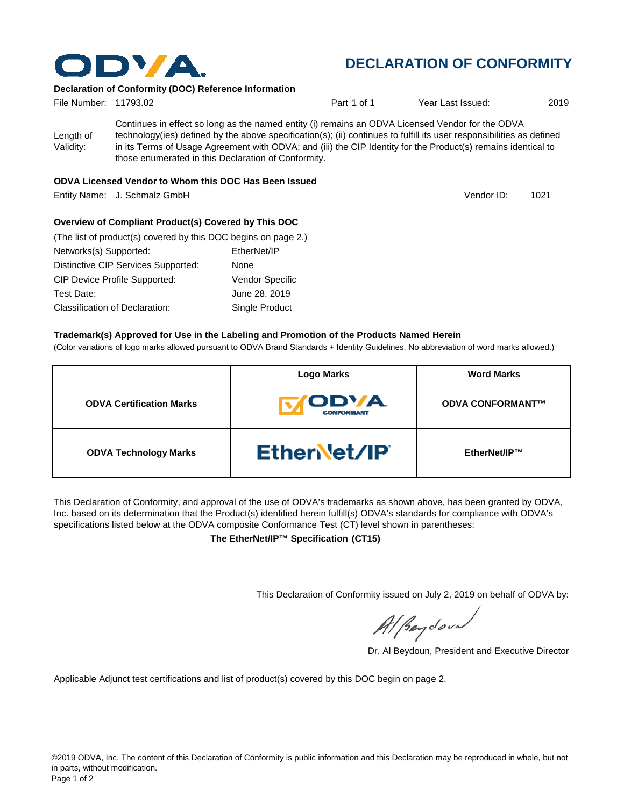

## **DECLARATION OF CONFORMITY**

Vendor ID:

### **Declaration of Conformity (DOC) Reference Information**

| File Number: 11793.02  |                                                                                                                                                                                                                                                                                                                                                                                                   | Part 1 of 1 | Year Last Issued: | 2019 |
|------------------------|---------------------------------------------------------------------------------------------------------------------------------------------------------------------------------------------------------------------------------------------------------------------------------------------------------------------------------------------------------------------------------------------------|-------------|-------------------|------|
| Length of<br>Validity: | Continues in effect so long as the named entity (i) remains an ODVA Licensed Vendor for the ODVA<br>technology(ies) defined by the above specification(s); (ii) continues to fulfill its user responsibilities as defined<br>in its Terms of Usage Agreement with ODVA; and (iii) the CIP Identity for the Product(s) remains identical to<br>those enumerated in this Declaration of Conformity. |             |                   |      |

#### **ODVA Licensed Vendor to Whom this DOC Has Been Issued**

Entity Name: J. Schmalz GmbH 1021

**Overview of Compliant Product(s) Covered by This DOC** 

| (The list of product(s) covered by this DOC begins on page 2.) |               |                        |
|----------------------------------------------------------------|---------------|------------------------|
| Networks(s) Supported:                                         | EtherNet/IP   |                        |
| Distinctive CIP Services Supported:                            | None          |                        |
| <b>CIP Device Profile Supported:</b>                           |               | <b>Vendor Specific</b> |
| Test Date:                                                     | June 28, 2019 |                        |
| <b>Classification of Declaration:</b>                          |               | Single Product         |

#### **Trademark(s) Approved for Use in the Labeling and Promotion of the Products Named Herein**

(Color variations of logo marks allowed pursuant to ODVA Brand Standards + Identity Guidelines. No abbreviation of word marks allowed.)

|                                 | <b>Logo Marks</b>                       | <b>Word Marks</b>       |
|---------------------------------|-----------------------------------------|-------------------------|
| <b>ODVA Certification Marks</b> | <b><i>CDVA</i></b><br><b>CONFORMANT</b> | <b>ODVA CONFORMANT™</b> |
| <b>ODVA Technology Marks</b>    | <b>Ethervet/IP</b>                      | EtherNet/IP™            |

This Declaration of Conformity, and approval of the use of ODVA's trademarks as shown above, has been granted by ODVA, Inc. based on its determination that the Product(s) identified herein fulfill(s) ODVA's standards for compliance with ODVA's specifications listed below at the ODVA composite Conformance Test (CT) level shown in parentheses:

**The EtherNet/IP™ Specification (CT15)**

This Declaration of Conformity issued on July 2, 2019 on behalf of ODVA by:

Al peydound

Dr. Al Beydoun, President and Executive Director

Applicable Adjunct test certifications and list of product(s) covered by this DOC begin on page 2.